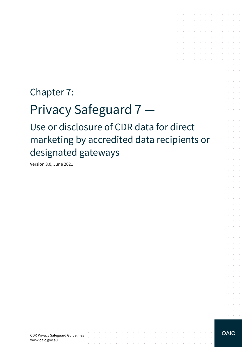# Chapter 7:

# Privacy Safeguard 7 —

Use or disclosure of CDR data for direct marketing by accredited data recipients or designated gateways

Version 3.0, June 2021

CDR Privacy Safeguard Guidelines www.oaic.gov.au

contractors and

and the control

 $\sim$   $\sim$ 

 $\sim$ 

the contract of the contract of the contract of

 $\sim$ 

 $\mathcal{L}^{\text{max}}$  and  $\mathcal{L}^{\text{max}}$ 

 $\mathcal{L}$ 

the contract of the contract of the conthe contract of the contract of the company of the company of

> $\sim$  $\sim$   $\sim$

and the control

**Contract Contract** 

 $\mathcal{L}^{\text{max}}$ 

and a straightful control of the and the company of the company of the

and the company of the company of the company of the company of the company of the company of the company of the and the control

 $\sim 10^{-10}$  km s  $^{-1}$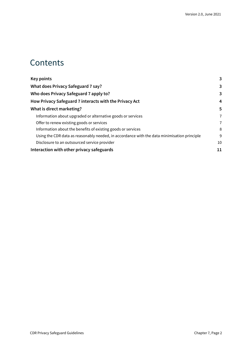### **Contents**

| <b>Key points</b>                                                                           | 3  |
|---------------------------------------------------------------------------------------------|----|
| What does Privacy Safeguard 7 say?                                                          | 3  |
| Who does Privacy Safeguard 7 apply to?                                                      | 3  |
| How Privacy Safeguard 7 interacts with the Privacy Act                                      | 4  |
| What is direct marketing?                                                                   | 5  |
| Information about upgraded or alternative goods or services                                 | 7  |
| Offer to renew existing goods or services                                                   | 7  |
| Information about the benefits of existing goods or services                                | 8  |
| Using the CDR data as reasonably needed, in accordance with the data minimisation principle | 9  |
| Disclosure to an outsourced service provider                                                | 10 |
| Interaction with other privacy safeguards                                                   | 11 |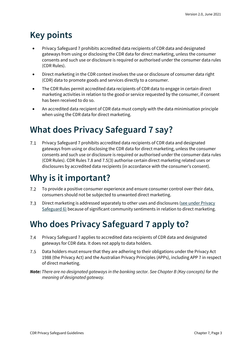# <span id="page-2-0"></span>**Key points**

- Privacy Safeguard 7 prohibits accredited data recipients of CDR data and designated gateways from using or disclosing the CDR data for direct marketing, unless the consumer consents and such use or disclosure is required or authorised under the consumer data rules (CDR Rules).
- Direct marketing in the CDR context involves the use or disclosure of consumer data right (CDR) data to promote goods and services directly to a consumer.
- The CDR Rules permit accredited data recipients of CDR data to engage in certain direct marketing activities in relation to the good or service requested by the consumer, if consent has been received to do so.
- An accredited data recipient of CDR data must comply with the data minimisation principle when using the CDR data for direct marketing.

### <span id="page-2-1"></span>**What does Privacy Safeguard 7 say?**

 $7.1$ Privacy Safeguard 7 prohibits accredited data recipients of CDR data and designated gateways from using or disclosing the CDR data for direct marketing, unless the consumer consents and such use or disclosure is required or authorised under the consumer data rules (CDR Rules). CDR Rules 7.8 and 7.5(3) authorise certain direct marketing related uses or disclosures by accredited data recipients (in accordance with the consumer's consent).

### **Why is it important?**

- $7.2$ To provide a positive consumer experience and ensure consumer control over their data, consumers should not be subjected to unwanted direct marketing.
- $7.3$ Direct marketing is addressed separately to other uses and disclosures (see under Privacy [Safeguard 6\)](https://www.oaic.gov.au/consumer-data-right/cdr-privacy-safeguard-guidelines/chapter-6-privacy-safeguard-6-use-or-disclosure-of-cdr-data-by-accredited-data-recipients-or-designated-gateways) because of significant community sentiments in relation to direct marketing.

# <span id="page-2-2"></span>**Who does Privacy Safeguard 7 apply to?**

- $7.4$ Privacy Safeguard 7 applies to accredited data recipients of CDR data and designated gateways for CDR data. It does not apply to data holders.
- 7.5 Data holders must ensure that they are adhering to their obligations under the Privacy Act 1988 (the Privacy Act) and the Australian Privacy Principles (APPs), including APP 7 in respect of direct marketing.
- *Note: There are no designated gateways in the banking sector. See Chapter B (Key concepts) for the meaning of designated gateway.*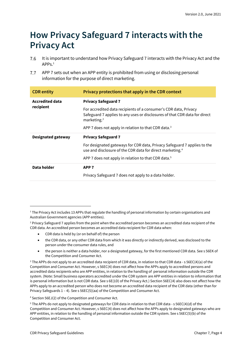### <span id="page-3-0"></span>**How Privacy Safeguard 7 interacts with the Privacy Act**

- 7.6 It is important to understand how Privacy Safeguard 7 interacts with the Privacy Act and the  $APPS<sup>1</sup>$
- $7.7$ APP 7 sets out when an APP entity is prohibited from using or disclosing personal information for the purpose of direct marketing.

| <b>CDR</b> entity                   | Privacy protections that apply in the CDR context                                                                                                                |
|-------------------------------------|------------------------------------------------------------------------------------------------------------------------------------------------------------------|
| <b>Accredited data</b><br>recipient | <b>Privacy Safeguard 7</b>                                                                                                                                       |
|                                     | For accredited data recipients of a consumer's CDR data, Privacy<br>Safeguard 7 applies to any uses or disclosures of that CDR data for direct<br>marketing. $2$ |
|                                     | APP 7 does not apply in relation to that CDR data. <sup>3</sup>                                                                                                  |
|                                     |                                                                                                                                                                  |
| <b>Designated gateway</b>           | <b>Privacy Safeguard 7</b>                                                                                                                                       |
|                                     | For designated gateways for CDR data, Privacy Safeguard 7 applies to the<br>use and disclosure of the CDR data for direct marketing. <sup>4</sup>                |
|                                     | APP 7 does not apply in relation to that CDR data. <sup>5</sup>                                                                                                  |
| Data holder                         | APP <sub>7</sub>                                                                                                                                                 |

- CDR data is held by (or on behalf of) the person
- the CDR data, or any other CDR data from which it was directly or indirectly derived, was disclosed to the person under the consumer data rules, and
- the person is neither a data holder, nor a designated gateway, for the first mentioned CDR data. See s 56EK of the Competition and Consumer Act.

<sup>4</sup> Section 56EJ(2) of the Competition and Consumer Act.

<sup>5</sup> The APPs do not apply to designated gateways for CDR data in relation to that CDR data - s 56EC(4)(d) of the Competition and Consumer Act. However, s 56EC(4) does not affect how the APPs apply to designated gateways who are APP entities, in relation to the handling of personal information outside the CDR system. See s 56EC(5)(b) of the Competition and Consumer Act.

 $1$  The Privacy Act includes 13 APPs that regulate the handling of personal information by certain organisations and Australian Government agencies (APP entities).

<sup>&</sup>lt;sup>2</sup> Privacy Safeguard 7 applies from the point when the accredited person becomes an accredited data recipient of the CDR data. An accredited person becomes an accredited data recipient for CDR data when:

<sup>3</sup> The APPs do not apply to an accredited data recipient of CDR data, in relation to that CDR data - s 56EC(4)(a) of the Competition and Consumer Act. However, s 56EC(4) does not affect how the APPs apply to accredited persons and accredited data recipients who are APP entities, in relation to the handling of personal information outside the CDR system. (Note: Small business operators accredited under the CDR system are APP entities in relation to information that is personal information but is not CDR data. See s 6E(1D) of the Privacy Act.) Section 56EC(4) also does not affect how the APPs apply to an accredited person who does not become an accredited data recipient of the CDR data (other than for Privacy Safeguards 1 – 4). See s 56EC(5)(aa) of the Competition and Consumer Act.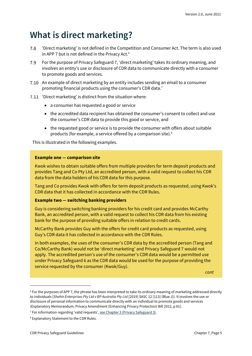### <span id="page-4-0"></span>**What is direct marketing?**

- 'Direct marketing' is not defined in the Competition and Consumer Act. The term is also used 7.8 in APP 7 but is not defined in the Privacy Act.<sup>6</sup>
- 7.9 For the purpose of Privacy Safeguard 7, 'direct marketing' takes its ordinary meaning, and involves an entity's use or disclosure of CDR data to communicate directly with a consumer to promote goods and services.
- An example of direct marketing by an entity includes sending an email to a consumer promoting financial products using the consumer's CDR data.<sup>7</sup>
- 7.11 'Direct marketing' is distinct from the situation where:
	- a consumer has requested a good or service
	- the accredited data recipient has obtained the consumer's consent to collect and use the consumer's CDR data to provide this good or service, and
	- the requested good or service is to provide the consumer with offers about suitable products (for example, a service offered by a comparison site).<sup>8</sup>

This is illustrated in the following examples.

#### **Example one — comparison site**

Kwok wishes to obtain suitable offers from multiple providers for term deposit products and provides Tang and Co Pty Ltd, an accredited person, with a valid request to collect his CDR data from the data holders of his CDR data for this purpose.

Tang and Co provides Kwok with offers for term deposit products as requested, using Kwok's CDR data that it has collected in accordance with the CDR Rules.

#### **Example two — switching banking providers**

Guy is considering switching banking providers for his credit card and provides McCarthy Bank, an accredited person, with a valid request to collect his CDR data from his existing bank for the purpose of providing suitable offers in relation to credit cards.

McCarthy Bank provides Guy with the offers for credit card products as requested, using Guy's CDR data it has collected in accordance with the CDR Rules.

In both examples, the uses of the consumer's CDR data by the accredited person (Tang and Co/McCarthy Bank) would not be 'direct marketing' and Privacy Safeguard 7 would not apply. The accredited person's use of the consumer's CDR data would be a permitted use under Privacy Safeguard 6 as the CDR data would be used for the purpose of providing the service requested by the consumer (Kwok/Guy).

*cont*

<sup>&</sup>lt;sup>6</sup> For the purposes of APP 7, the phrase has been interpreted to take its ordinary meaning of marketing addressed directly to individuals (*Shahin Enterprises Pty Ltd v BP Australia Pty Ltd* [2019] SASC 12 [113] (Blue J)). It involves the use or disclosure of personal information to communicate directly with an individual to promote goods and services (Explanatory Memorandum, Privacy Amendment (Enhancing Privacy Protection) Bill 2012, p 81).

<sup>7</sup> For information regarding 'valid requests', [see Chapter 3 \(Privacy Safeguard 3\).](https://www.oaic.gov.au/consumer-data-right/cdr-privacy-safeguard-guidelines/chapter-3-privacy-safeguard-3-seeking-to-collect-cdr-data-from-cdr-participants)

<sup>8</sup> Explanatory Statement to the CDR Rules.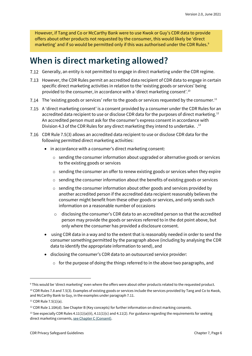However, if Tang and Co or McCarthy Bank were to use Kwok or Guy's CDR data to provide offers about other products not requested by the consumer, this would likely be 'direct marketing' and if so would be permitted only if this was authorised under the CDR Rules.<sup>9</sup>

### **When is direct marketing allowed?**

- 7.12 Generally, an entity is not permitted to engage in direct marketing under the CDR regime.
- 7.13 However, the CDR Rules permit an accredited data recipient of CDR data to engage in certain specific direct marketing activities in relation to the 'existing goods or services' being provided to the consumer, in accordance with a 'direct marketing consent'.<sup>10</sup>
- 7.14 The 'existing goods or services' refer to the goods or services requested by the consumer.<sup>11</sup>
- 7.15 A 'direct marketing consent' is a consent provided by a consumer under the CDR Rules for an accredited data recipient to use or disclose CDR data for the purposes of direct marketing.<sup>12</sup> An accredited person must ask for the consumer's express consent in accordance with Division 4.3 of the CDR Rules for any direct marketing they intend to undertake. .<sup>13</sup>
- CDR Rule 7.5(3) allows an accredited data recipient to use or disclose CDR data for the following permitted direct marketing activities:
	- in accordance with a consumer's direct marketing consent:
		- $\circ$  sending the consumer information about upgraded or alternative goods or services to the existing goods or services
		- $\circ$  sending the consumer an offer to renew existing goods or services when they expire
		- o sending the consumer information about the benefits of existing goods or services
		- $\circ$  sending the consumer information about other goods and services provided by another accredited person if the accredited data recipient reasonably believes the consumer might benefit from these other goods or services, and only sends such information on a reasonable number of occasions
		- $\circ$  disclosing the consumer's CDR data to an accredited person so that the accredited person may provide the goods or services referred to in the dot point above, but only where the consumer has provided a disclosure consent.
	- using CDR data in a way and to the extent that is reasonably needed in order to send the consumer something permitted by the paragraph above (including by analysing the CDR data to identify the appropriate information to send), and
	- disclosing the consumer's CDR data to an outsourced service provider:
		- $\circ$  for the purpose of doing the things referred to in the above two paragraphs, and

<sup>9</sup> This would be 'direct marketing' even where the offers were about other products related to the requested product.

 $10$  CDR Rules 7.8 and 7.5(3). Examples of existing goods or services include the services provided by Tang and Co to Kwok, and McCarthy Bank to Guy, in the examples under paragraph 7.11.

 $11$  CDR Rule 7.5(1)(a).

 $12$  CDR Rule 1.10A(d). See Chapter B (Key concepts) for further information on direct marking consents.

<sup>&</sup>lt;sup>13</sup> See especially CDR Rules 4.11(1)(a)(ii), 4.11(1)(c) and 4.11(2). For guidance regarding the requirements for seeking direct marketing consents[, see Chapter C \(Consent\).](https://www.oaic.gov.au/consumer-data-right/cdr-privacy-safeguard-guidelines/chapter-c-consent-the-basis-for-collecting-and-using-cdr-data)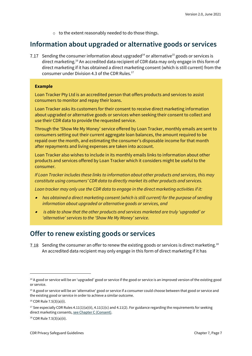o to the extent reasonably needed to do those things.

#### <span id="page-6-0"></span>**Information about upgraded or alternative goods or services**

7.17 Sending the consumer information about upgraded<sup>14</sup> or alternative<sup>15</sup> goods or services is direct marketing.<sup>16</sup> An accredited data recipient of CDR data may only engage in this form of direct marketing if it has obtained a direct marketing consent (which is still current) from the consumer under Division 4.3 of the CDR Rules. 17

#### **Example**

Loan Tracker Pty Ltd is an accredited person that offers products and services to assist consumers to monitor and repay their loans.

Loan Tracker asks its customers for their consent to receive direct marketing information about upgraded or alternative goods or services when seeking their consent to collect and use their CDR data to provide the requested service.

Through the 'Show Me My Money' service offered by Loan Tracker, monthly emails are sent to consumers setting out their current aggregate loan balances, the amount required to be repaid over the month, and estimating the consumer's disposable income for that month after repayments and living expenses are taken into account.

Loan Tracker also wishes to include in its monthly emails links to information about other products and services offered by Loan Tracker which it considers might be useful to the consumer.

*If Loan Tracker includes these links to information about other products and services, this may constitute using consumers' CDR data to directly market its other products and services.*

*Loan tracker may only use the CDR data to engage in the direct marketing activities if it:*

- *has obtained a direct marketing consent (which is still current) for the purpose of sending information about upgraded or alternative goods or services, and*
- • *is able to show that the other products and services marketed are truly 'upgraded' or 'alternative' services to the 'Show Me My Money' service.*

#### <span id="page-6-1"></span>**Offer to renew existing goods or services**

7.18 Sending the consumer an offer to renew the existing goods or services is direct marketing.<sup>18</sup> An accredited data recipient may only engage in this form of direct marketing if it has

<sup>&</sup>lt;sup>14</sup> A good or service will be an 'upgraded' good or service if the good or service is an improved version of the existing good or service.

<sup>&</sup>lt;sup>15</sup> A good or service will be an 'alternative' good or service if a consumer could choose between that good or service and the existing good or service in order to achieve a similar outcome.

<sup>16</sup> CDR Rule 7.5(3)(a)(i).

<sup>&</sup>lt;sup>17</sup> See especially CDR Rules 4.11(1)(a)(ii), 4.11(1)(c) and 4.11(2). For guidance regarding the requirements for seeking direct marketing consents[, see Chapter C \(Consent\).](https://www.oaic.gov.au/consumer-data-right/cdr-privacy-safeguard-guidelines/chapter-c-consent-the-basis-for-collecting-and-using-cdr-data)

<sup>18</sup> CDR Rule 7.5(3)(a)(ii).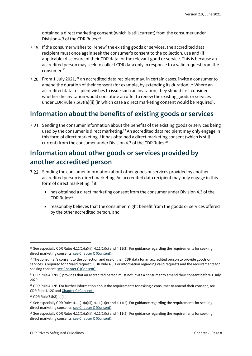obtained a direct marketing consent (which is still current) from the consumer under Division 4.3 of the CDR Rules.<sup>19</sup>

- 7.19 If the consumer wishes to 'renew' the existing goods or services, the accredited data recipient must once again seek the consumer's consent to the collection, use and (if applicable) disclosure of their CDR data for the relevant good or service. This is because an accredited person may seek to collect CDR data only in response to a valid request from the consumer.<sup>20</sup>
- 7.20 From 1 July 2021, <sup>21</sup> an accredited data recipient may, in certain cases, invite a consumer to amend the duration of their consent (for example, by extending its duration).<sup>22</sup> Where an accredited data recipient wishes to issue such an invitation, they should first consider whether the invitation would constitute an offer to renew the existing goods or services under CDR Rule 7.5(3)(a)(ii) (in which case a direct marketing consent would be required).

#### <span id="page-7-0"></span>**Information about the benefits of existing goods or services**

7.21 Sending the consumer information about the benefits of the existing goods or services being used by the consumer is direct marketing.<sup>23</sup> An accredited data recipient may only engage in this form of direct marketing if it has obtained a direct marketing consent (which is still current) from the consumer under Division 4.3 of the CDR Rules.<sup>24</sup>

#### **Information about other goods or services provided by another accredited person**

- Sending the consumer information about other goods or services provided by another accredited person is direct marketing. An accredited data recipient may only engage in this form of direct marketing if it:
	- has obtained a direct marketing consent from the consumer under Division 4.3 of the CDR Rules<sup>25</sup>
	- reasonably believes that the consumer might benefit from the goods or services offered by the other accredited person, and

<sup>&</sup>lt;sup>19</sup> See especially CDR Rules  $4.11(1)(a)(ii)$ ,  $4.11(1)(c)$  and  $4.11(2)$ . For guidance regarding the requirements for seeking direct marketing consents[, see Chapter C \(Consent\).](https://www.oaic.gov.au/consumer-data-right/cdr-privacy-safeguard-guidelines/chapter-c-consent-the-basis-for-collecting-and-using-cdr-data)

<sup>&</sup>lt;sup>20</sup> The consumer's consent to the collection and use of their CDR data for an accredited person to provide goods or services is required for a 'valid request': CDR Rule 4.3. For information regarding valid requests and the requirements for seeking consent[, see Chapter C \(Consent\).](https://www.oaic.gov.au/consumer-data-right/cdr-privacy-safeguard-guidelines/chapter-c-consent-the-basis-for-collecting-and-using-cdr-data)

<sup>&</sup>lt;sup>21</sup> CDR Rule 4.12B(5) provides that an accredited person must not invite a consumer to amend their consent before 1 July 2020.

 $22$  CDR Rule 4.12B. For further information about the requirements for asking a consumer to amend their consent, see CDR Rule 4.12C an[d Chapter C \(Consent\).](https://www.oaic.gov.au/consumer-data-right/cdr-privacy-safeguard-guidelines/chapter-c-consent-the-basis-for-collecting-and-using-cdr-data/)

<sup>23</sup> CDR Rule 7.5(3)(a)(iii).

<sup>&</sup>lt;sup>24</sup> See especially CDR Rules 4.11(1)(a)(ii), 4.11(1)(c) and 4.11(2). For guidance regarding the requirements for seeking direct marketing consents[, see Chapter C \(Consent\).](https://www.oaic.gov.au/consumer-data-right/cdr-privacy-safeguard-guidelines/chapter-c-consent-the-basis-for-collecting-and-using-cdr-data)

<sup>&</sup>lt;sup>25</sup> See especially CDR Rules 4.11(1)(a)(ii), 4.11(1)(c) and 4.11(2). For guidance regarding the requirements for seeking direct marketing consents[, see Chapter C \(Consent\).](https://www.oaic.gov.au/consumer-data-right/cdr-privacy-safeguard-guidelines/chapter-c-consent-the-basis-for-collecting-and-using-cdr-data)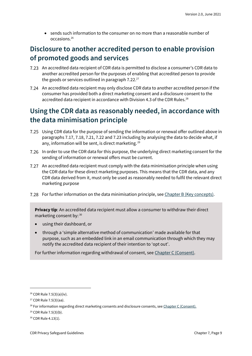• sends such information to the consumer on no more than a reasonable number of occasions.<sup>26</sup>

### **Disclosure to another accredited person to enable provision of promoted goods and services**

- An accredited data recipient of CDR data is permitted to disclose a consumer's CDR data to another accredited person for the purposes of enabling that accredited person to provide the goods or services outlined in paragraph 7.22.<sup>27</sup>
- An accredited data recipient may only disclose CDR data to another accredited person if the consumer has provided both a direct marketing consent and a disclosure consent to the accredited data recipient in accordance with Division 4.3 of the CDR Rules.<sup>28</sup>

### <span id="page-8-0"></span>**Using the CDR data as reasonably needed, in accordance with the data minimisation principle**

- Using CDR data for the purpose of sending the information or renewal offer outlined above in paragraphs 7.17, 7.18, 7.21, 7.22 and 7.23 including by analysing the data to decide what, if any, information will be sent, is direct marketing.<sup>29</sup>
- In order to use the CDR data for this purpose, the underlying direct marketing consent for the sending of information or renewal offers must be current.
- An accredited data recipient must comply with the data minimisation principle when using the CDR data for these direct marketing purposes. This means that the CDR data, and any CDR data derived from it, must only be used as reasonably needed to fulfil the relevant direct marketing purpose
- 7.28 For further information on the data minimisation principle, see [Chapter B \(Key concepts\).](https://www.oaic.gov.au/consumer-data-right/cdr-privacy-safeguard-guidelines/chapter-b-key-concepts/)

**Privacy tip**: An accredited data recipient must allow a consumer to withdraw their direct marketing consent by: 30

- using their dashboard, or
- through a 'simple alternative method of communication' made available for that purpose, such as an embedded link in an email communication through which they may notify the accredited data recipient of their intention to 'opt out'.

For further information regarding withdrawal of consent, se[e Chapter C \(Consent\).](https://www.oaic.gov.au/consumer-data-right/cdr-privacy-safeguard-guidelines/chapter-c-consent-the-basis-for-collecting-and-using-cdr-data/)

<sup>26</sup> CDR Rule 7.5(3)(a)(iv).

<sup>27</sup> CDR Rule 7.5(3)(aa).

<sup>&</sup>lt;sup>28</sup> For information regarding direct marketing consents and disclosure consents, se[e Chapter C \(Consent\).](https://www.oaic.gov.au/consumer-data-right/cdr-privacy-safeguard-guidelines/chapter-c-consent-the-basis-for-collecting-and-using-cdr-data/)

<sup>29</sup> CDR Rule 7.5(3)(b).

<sup>30</sup> CDR Rule 4.13(1).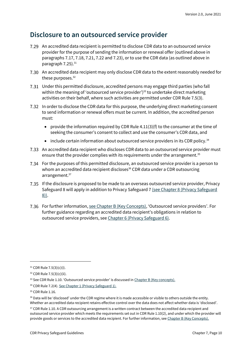#### <span id="page-9-0"></span>**Disclosure to an outsourced service provider**

- An accredited data recipient is permitted to disclose CDR data to an outsourced service provider for the purpose of sending the information or renewal offer (outlined above in paragraphs 7.17, 7.18, 7.21, 7.22 and 7.23), or to use the CDR data (as outlined above in paragraph 7.25). 31
- An accredited data recipient may only disclose CDR data to the extent reasonably needed for these purposes.<sup>32</sup>
- Under this permitted disclosure, accredited persons may engage third parties (who fall within the meaning of 'outsourced service provider')<sup>33</sup> to undertake direct marketing activities on their behalf, where such activities are permitted under CDR Rule 7.5(3).
- 7.32 In order to disclose the CDR data for this purpose, the underlying direct marketing consent to send information or renewal offers must be current. In addition, the accredited person must:
	- provide the information required by CDR Rule  $4.11(3)(f)$  to the consumer at the time of seeking the consumer's consent to collect and use the consumer's CDR data, and
	- include certain information about outsourced service providers in its CDR policy.<sup>34</sup>
- An accredited data recipient who discloses CDR data to an outsourced service provider must ensure that the provider complies with its requirements under the arrangement.<sup>35</sup>
- For the purposes of this permitted disclosure, an outsourced service provider is a person to whom an accredited data recipient discloses<sup>36</sup> CDR data under a CDR outsourcing arrangement.<sup>37</sup>
- If the disclosure is proposed to be made to an overseas outsourced service provider, Privacy Safeguard 8 will apply in addition to Privacy Safeguard 7 [\(see Chapter 8 \(Privacy Safeguard](https://www.oaic.gov.au/consumer-data-right/cdr-privacy-safeguard-guidelines/chapter-8-privacy-safeguard-8-overseas-disclosure-of-cdr-data-by-accredited-data-recipients) [8\)\).](https://www.oaic.gov.au/consumer-data-right/cdr-privacy-safeguard-guidelines/chapter-8-privacy-safeguard-8-overseas-disclosure-of-cdr-data-by-accredited-data-recipients)
- For further information[, see Chapter B \(Key Concepts\)](https://www.oaic.gov.au/consumer-data-right/cdr-privacy-safeguard-guidelines/chapter-b-key-concepts), 'Outsourced service providers'. For further guidance regarding an accredited data recipient's obligations in relation to outsourced service providers, see [Chapter 6 \(Privacy Safeguard 6\).](https://www.oaic.gov.au/consumer-data-right/cdr-privacy-safeguard-guidelines/chapter-6-privacy-safeguard-6-use-or-disclosure-of-cdr-data-by-accredited-data-recipients-or-designated-gateways/)

<sup>31</sup> CDR Rule 7.5(3)(c)(i).

<sup>32</sup> CDR Rule 7.5(3)(c)(ii).

<sup>33</sup> See CDR Rule 1.10. 'Outsourced service provider' is discussed in [Chapter B \(Key concepts\).](https://www.oaic.gov.au/consumer-data-right/cdr-privacy-safeguard-guidelines/chapter-b-key-concepts)

<sup>34</sup> CDR Rule 7.2(4)[. See Chapter 1 \(Privacy Safeguard 1\).](https://www.oaic.gov.au/consumer-data-right/cdr-privacy-safeguard-guidelines/chapter-1-privacy-safeguard-1-open-and-transparent-management-of-cdr-data)

<sup>&</sup>lt;sup>35</sup> CDR Rule 1.16.

<sup>&</sup>lt;sup>36</sup> Data will be 'disclosed' under the CDR regime where it is made accessible or visible to others outside the entity. Whether an accredited data recipient retains effective control over the data does not affect whether data is 'disclosed'.

<sup>&</sup>lt;sup>37</sup> CDR Rule 1.10. A CDR outsourcing arrangement is a written contract between the accredited data recipient and outsourced service provider which meets the requirements set out in CDR Rule 1.10(2), and under which the provider will provide goods or services to the accredited data recipient. For further information, see [Chapter B \(Key Concepts\).](https://www.oaic.gov.au/consumer-data-right/cdr-privacy-safeguard-guidelines/chapter-b-key-concepts)